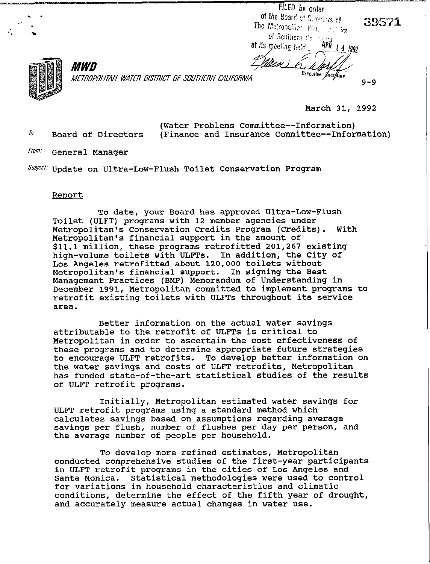FILED by order<br>of the Board of Disectors of The Metropolitar Wet 2006 of Seuthern  $v_3 \rightarrow$  $APR$  1 4 1992 **at its m**eeting held .

 $9 - 9$ 



METROPOLITAN WATER DISTRICT OF SOUTHERN CALIFORNIA

**March 31, 1992** 

Executive Secritory

**(Water Problems Committee--Information)**  *II***: Board of Directors (Finance and Insurance Committee--Information)** 

<u> Maa)</u>

**From: General Manager** 

*MWD* 

**suniect- Update on Ultra-Low-Flush Toilet Conservation Program** 

## **Reoort**

**To date, your Board has approved Ultra-Low-Flush Toilet (ULFT) programs with 12 member agencies under Metropolitan's Conservation Credits Program (Credits). With Metropolitan's financial support in the amount of \$11.1 million, these programs retrofitted 201,267 existing high-volume toilets with ULFTs. In addition, the City of Los Angeles retrofitted about 120,000 toilets without Metropolitan's financial support. In signing the Best Management Practices (BMP) Memorandum of Understanding in December 1991, Metropolitan committed to implement programs to retrofit existing toilets with ULFTs throughout its service area.** 

**Better information on the actual water savings attributable to the retrofit of ULFTs is critical to Metropolitan in order to ascertain the cost effectiveness of these programs and to determine appropriate future strategies to encourage ULFT retrofits. To develop better information on the water savings and costs of ULFT retrofits, Metropolitan has funded state-of-the-art statistical studies of the results of ULFT retrofit programs.** 

**Initially, Metropolitan estimated water savings for ULFT retrofit programs using a standard method which calculates savings based on assumptions regarding average savings per flush, number of flushes per day per person, and the average number of people per household.** 

**To develop more refined estimates, Metropolitan conducted comprehensive studies of the first-year participants in ULFT retrofit programs in the cities of Los Angeles and Santa Monica. Statistical methodologies were used to control for variations in household characteristics and climatic conditions, determine the effect of the fifth year of drought, and accurately measure actual changes in water use.**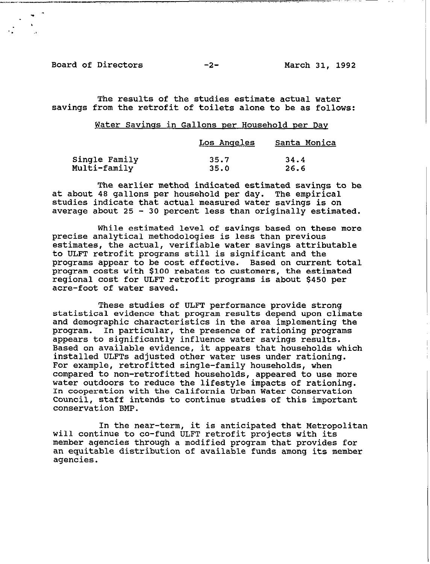Board of Directors -2- March 31, 1992

 $\blacksquare$ 

. h '. .\*

--\_.C.\_- - . ., ;. ,, .~. 1, ., . .

-- \_...- ~-. -\_

The results of the studies estimate actual water savings from the retrofit of toilets alone to be as follows:

## Water Savings in Gallons per Household per Day

|               | Los Angeles | Santa Monica |
|---------------|-------------|--------------|
| Single Family | 35.7        | 34.4         |
| Multi-family  | 35.0        | 26.6         |

The earlier method indicated estimated savings to be at about 48 gallons per household per day. The empirical studies indicate that actual measured water savings is on average about 25 - 30 percent less than originally estimated.

While estimated level of savings based on these more precise analytical methodologies is less than previous estimates, the actual, verifiable water savings attributable to ULFT retrofit programs still is significant and the programs appear to be cost effective. Based on current total program costs with \$100 rebates to customers, the estimated regional cost for ULFT retrofit programs is about \$450 per acre-foot of water saved.

These studies of ULFT performance provide strong statistical evidence that program results depend upon climate and demographic characteristics in the area implementing the program. In particular, the presence of rationing programs appears to significantly influence water savings results. Based on available evidence, it appears that households which installed ULFTs adjusted other water uses under rationing. For example, retrofitted single-family households, when compared to non-retrofitted households, appeared to use more water outdoors to reduce the lifestyle impacts of rationing. In cooperation with the California Urban Water Conservation Council, staff intends to continue studies of this important conservation BMP.

In the near-term, it is anticipated that Metropolitan will continue to co-fund ULFT retrofit projects with its member agencies through a modified program that provides for an equitable distribution of available funds among its member agencies.